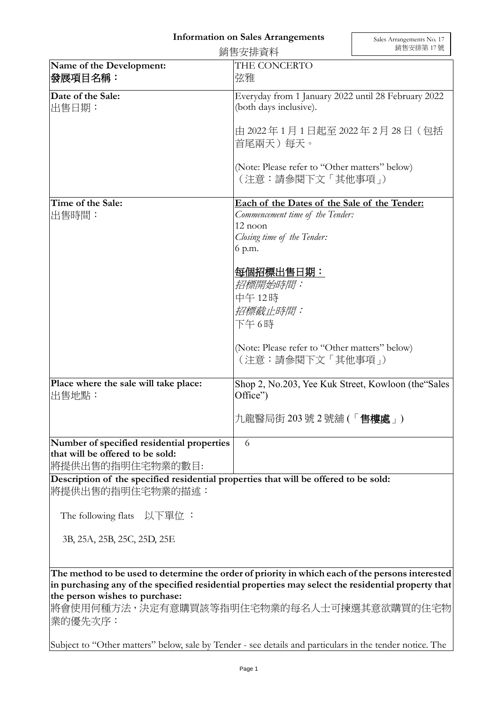## **Information on Sales Arrangements**

|                                                | 銷售安排資料                                                                        | 銷售安排第17號 |
|------------------------------------------------|-------------------------------------------------------------------------------|----------|
| Name of the Development:<br>發展項目名稱:            | THE CONCERTO<br>弦雅                                                            |          |
| Date of the Sale:<br>出售日期:                     | Everyday from 1 January 2022 until 28 February 2022<br>(both days inclusive). |          |
|                                                | 由 2022年1月1日起至 2022年2月 28日 (包括<br>首尾兩天)每天。                                     |          |
|                                                | (Note: Please refer to "Other matters" below)<br>(注意:請參閱下文「其他事項」)             |          |
| Time of the Sale:                              | Each of the Dates of the Sale of the Tender:                                  |          |
| 出售時間:                                          | Commencement time of the Tender:                                              |          |
|                                                | 12 noon                                                                       |          |
|                                                | Closing time of the Tender:                                                   |          |
|                                                | 6 p.m.                                                                        |          |
|                                                | 每個招標出售日期:<br>招標開始時間:<br>中午12時<br>招標截止時間:<br>下午6時                              |          |
|                                                | (Note: Please refer to "Other matters" below)<br>(注意:請參閱下文「其他事項」)             |          |
| Place where the sale will take place:<br>出售地點: | Shop 2, No.203, Yee Kuk Street, Kowloon (the "Sales"<br>Office")              |          |
|                                                | 九龍醫局街 203 號 2 號舖 (「 <b>售樓處</b> 」)                                             |          |
| Number of specified residential properties     | 6                                                                             |          |
| that will be offered to be sold:               |                                                                               |          |
| 將提供出售的指明住宅物業的數目:                               |                                                                               |          |

**Description of the specified residential properties that will be offered to be sold:** 將提供出售的指明住宅物業的描述:

The following flats 以下單位 :

3B, 25A, 25B, 25C, 25D, 25E

**The method to be used to determine the order of priority in which each of the persons interested in purchasing any of the specified residential properties may select the residential property that the person wishes to purchase:** 

將會使用何種方法,決定有意購買該等指明住宅物業的每名人士可揀選其意欲購買的住宅物 業的優先次序:

Subject to "Other matters" below, sale by Tender - see details and particulars in the tender notice. The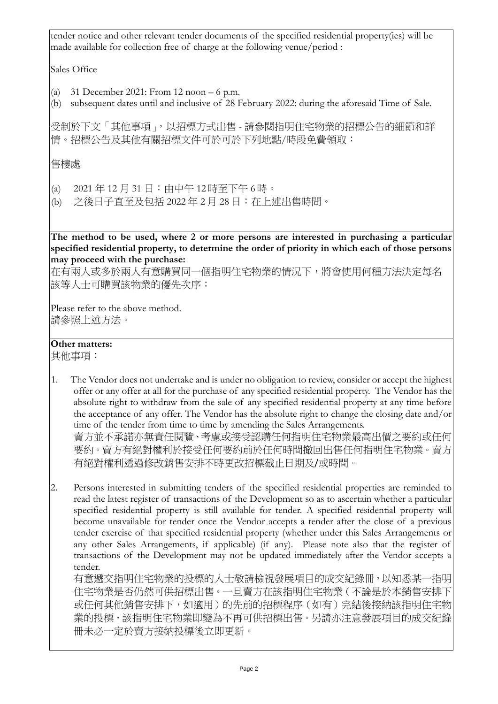tender notice and other relevant tender documents of the specified residential property(ies) will be made available for collection free of charge at the following venue/period :

Sales Office

- (a) 31 December 2021: From 12 noon 6 p.m.
- (b) subsequent dates until and inclusive of 28 February 2022: during the aforesaid Time of Sale.

受制於下文「其他事項」,以招標方式出售 - 請參閱指明住宅物業的招標公告的細節和詳 情。招標公告及其他有關招標文件可於可於下列地點/時段免費領取:

售樓處

- (a) 2021 年 12 月 31 日:由中午 12 時至下午 6 時。
- (b) 之後日子直至及包括 2022 年 2 月 28 日:在上述出售時間。

**The method to be used, where 2 or more persons are interested in purchasing a particular specified residential property, to determine the order of priority in which each of those persons may proceed with the purchase:**

在有兩人或多於兩人有意購買同一個指明住宅物業的情況下,將會使用何種方法決定每名 該等人士可購買該物業的優先次序:

Please refer to the above method. 請參照上述方法。

## **Other matters:**

其他事項:

- 1. The Vendor does not undertake and is under no obligation to review, consider or accept the highest offer or any offer at all for the purchase of any specified residential property. The Vendor has the absolute right to withdraw from the sale of any specified residential property at any time before the acceptance of any offer. The Vendor has the absolute right to change the closing date and/or time of the tender from time to time by amending the Sales Arrangements. 賣方並不承諾亦無責任閱覽、考慮或接受認購任何指明住宅物業最高出價之要約或任何 要約。賣方有絕對權利於接受任何要約前於任何時間撤回出售任何指明住宅物業。賣方 有絕對權利透過修改銷售安排不時更改招標截止日期及/或時間。
- 2. Persons interested in submitting tenders of the specified residential properties are reminded to read the latest register of transactions of the Development so as to ascertain whether a particular specified residential property is still available for tender. A specified residential property will become unavailable for tender once the Vendor accepts a tender after the close of a previous tender exercise of that specified residential property (whether under this Sales Arrangements or any other Sales Arrangements, if applicable) (if any). Please note also that the register of transactions of the Development may not be updated immediately after the Vendor accepts a tender.

有意遞交指明住宅物業的投標的人士敬請檢視發展項目的成交紀錄冊,以知悉某一指明 住宅物業是否仍然可供招標出售。一旦賣方在該指明住宅物業(不論是於本銷售安排下 或任何其他銷售安排下,如適用)的先前的招標程序(如有)完結後接納該指明住宅物 業的投標,該指明住宅物業即變為不再可供招標出售。另請亦注意發展項目的成交紀錄 冊未必一定於賣方接納投標後立即更新。